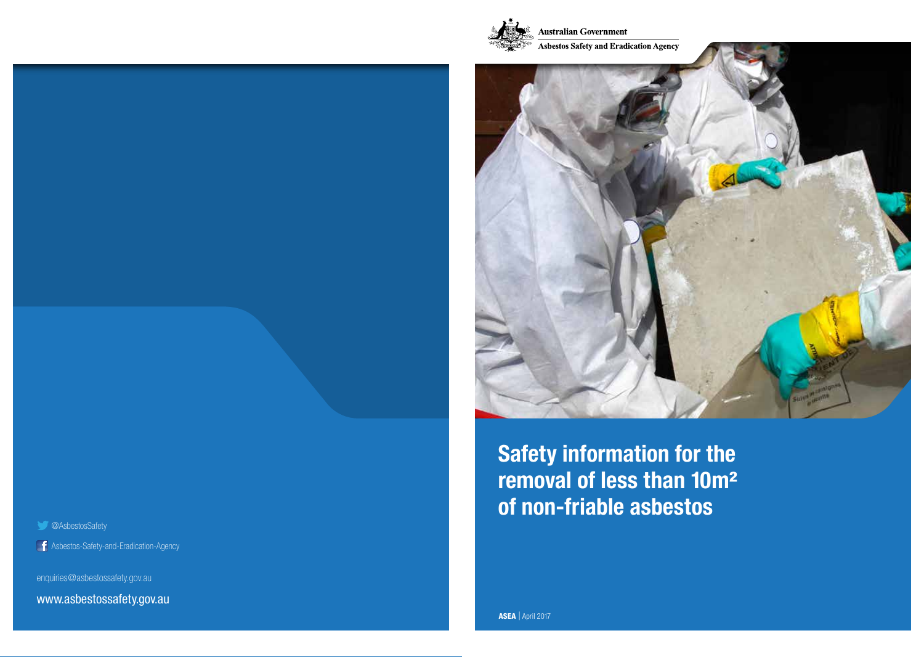



**Safety information for the** removal of less than 10m<sup>2</sup> **of non-friable asbestos** 

@AsbestosSafety

Asbestos-Safety-and-Eradication-Agency i i

enquiries@asbestossafety.gov.au

www.asbestossafety.gov.au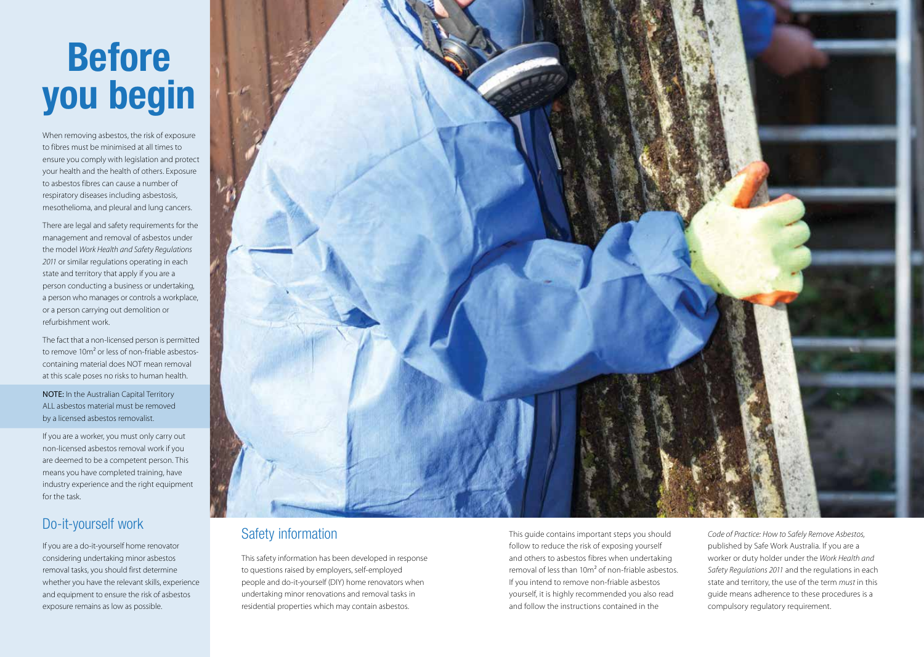# **Before you begin**

When removing asbestos, the risk of exposure to fibres must be minimised at all times to ensure you comply with legislation and protect your health and the health of others. Exposure to asbestos fibres can cause a number of respiratory diseases including asbestosis, mesothelioma, and pleural and lung cancers.

There are legal and safety requirements for the management and removal of asbestos under the model *Work Health and Safety Regulations 2011* or similar regulations operating in each state and territory that apply if you are a person conducting a business or undertaking, a person who manages or controls a workplace, or a person carrying out demolition or refurbishment work.

The fact that a non-licensed person is permitted to remove 10m² or less of non-friable asbestoscontaining material does NOT mean removal at this scale poses no risks to human health.

NOTE: In the Australian Capital Territory ALL asbestos material must be removed by a licensed asbestos removalist.

If you are a worker, you must only carry out non-licensed asbestos removal work if you are deemed to be a competent person. This means you have completed training, have industry experience and the right equipment for the task.

# Do-it-yourself work

If you are a do-it-yourself home renovator considering undertaking minor asbestos removal tasks, you should first determine whether you have the relevant skills, experience and equipment to ensure the risk of asbestos exposure remains as low as possible.



#### Safety information

This safety information has been developed in response to questions raised by employers, self-employed people and do-it-yourself (DIY) home renovators when undertaking minor renovations and removal tasks in residential properties which may contain asbestos.

This guide contains important steps you should follow to reduce the risk of exposing yourself and others to asbestos fibres when undertaking removal of less than 10m² of non-friable asbestos. If you intend to remove non-friable asbestos yourself, it is highly recommended you also read and follow the instructions contained in the

*Code of Practice: How to Safely Remove Asbestos,* published by Safe Work Australia. If you are a worker or duty holder under the *Work Health and Safety Regulations 2011* and the regulations in each state and territory, the use of the term *must* in this guide means adherence to these procedures is a compulsory regulatory requirement.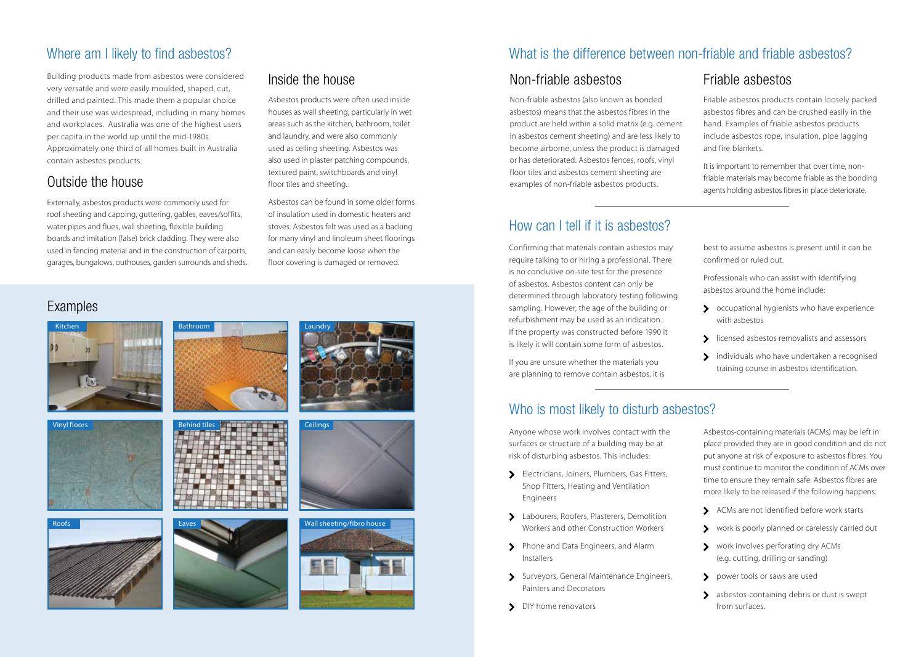#### Where am I likely to find asbestos?

Building products made from asbestos were considered very versatile and were easily moulded, shaped, cut, drilled and painted. This made them a popular choice and their use was widespread, including in many homes and workplaces. Australia was one of the highest users per capita in the world up until the mid-1980s. Approximately one third of all homes built in Australia contain asbestos products.

#### Outside the house

Externally, asbestos products were commonly used for roof sheeting and capping, guttering, gables, eaves/soffits, water pipes and flues, wall sheeting, flexible building boards and imitation (false) brick cladding. They were also used in fencing material and in the construction of carports, garages, bungalows, outhouses, garden surrounds and sheds.

#### Inside the house

Asbestos products were often used inside houses as wall sheeting, particularly in wet areas such as the kitchen, bathroom, toilet and laundry, and were also commonly used as ceiling sheeting. Asbestos was also used in plaster patching compounds, textured paint, switchboards and vinyl floor tiles and sheeting.

Asbestos can be found in some older forms of insulation used in domestic heaters and stoves. Asbestos felt was used as a backing for many vinyl and linoleum sheet floorings and can easily become loose when the floor covering is damaged or removed.

## Examples

















#### What is the difference between non-friable and friable asbestos?

## Non-friable asbestos

Non-friable asbestos (also known as bonded asbestos) means that the asbestos fibres in the product are held within a solid matrix (e.g. cement in asbestos cement sheeting) and are less likely to become airborne, unless the product is damaged or has deteriorated. Asbestos fences, roofs, vinyl floor tiles and asbestos cement sheeting are examples of non-friable asbestos products.

# How can I tell if it is asbestos?

Confirming that materials contain asbestos may require talking to or hiring a professional. There is no conclusive on-site test for the presence of asbestos. Asbestos content can only be determined through laboratory testing following sampling. However, the age of the building or refurbishment may be used as an indication. If the property was constructed before 1990 it is likely it will contain some form of asbestos.

If you are unsure whether the materials you are planning to remove contain asbestos, it is

#### Friable asbestos

Friable asbestos products contain loosely packed asbestos fibres and can be crushed easily in the hand. Examples of friable asbestos products include asbestos rope, insulation, pipe lagging and fire blankets.

It is important to remember that over time, nonfriable materials may become friable as the bonding agents holding asbestos fibres in place deteriorate.

best to assume asbestos is present until it can be confirmed or ruled out.

Professionals who can assist with identifying asbestos around the home include:

- S occupational hygienists who have experience with asbestos
- S licensed asbestos removalists and assessors
- > individuals who have undertaken a recognised training course in asbestos identification.

#### Who is most likely to disturb asbestos?

Anyone whose work involves contact with the surfaces or structure of a building may be at risk of disturbing asbestos. This includes:

- **Electricians, Joiners, Plumbers, Gas Fitters,** Shop Fitters, Heating and Ventilation Engineers
- > Labourers, Roofers, Plasterers, Demolition Workers and other Construction Workers
- > Phone and Data Engineers, and Alarm Installers
- Surveyors, General Maintenance Engineers, Painters and Decorators
- > DIY home renovators

Asbestos-containing materials (ACMs) may be left in place provided they are in good condition and do not put anyone at risk of exposure to asbestos fibres. You must continue to monitor the condition of ACMs over time to ensure they remain safe. Asbestos fibres are more likely to be released if the following happens:

- ACMs are not identified before work starts
- work is poorly planned or carelessly carried out
- work involves perforating dry ACMs (e.g. cutting, drilling or sanding)
- power tools or saws are used
- > asbestos-containing debris or dust is swept from surfaces.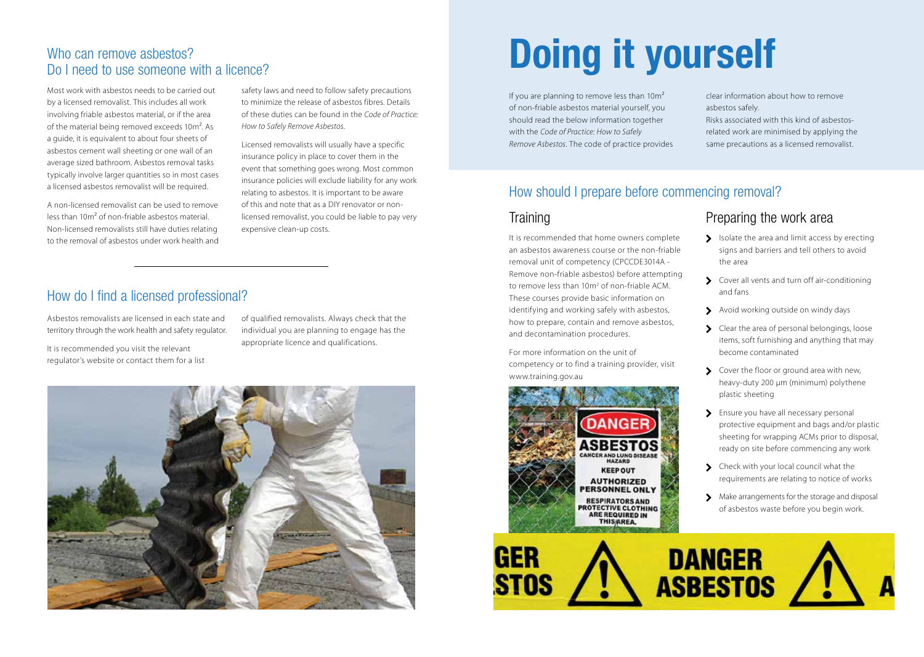#### Who can remove asbestos? Do I need to use someone with a licence?

Most work with asbestos needs to be carried out by a licensed removalist. This includes all work involving friable asbestos material, or if the area of the material being removed exceeds 10m<sup>2</sup>. As a guide, it is equivalent to about four sheets of asbestos cement wall sheeting or one wall of an average sized bathroom. Asbestos removal tasks typically involve larger quantities so in most cases a licensed asbestos removalist will be required.

A non-licensed removalist can be used to remove less than 10m² of non-friable asbestos material. Non-licensed removalists still have duties relating to the removal of asbestos under work health and safety laws and need to follow safety precautions to minimize the release of asbestos fibres. Details of these duties can be found in the *Code of Practice: How to Safely Remove Asbestos*.

Licensed removalists will usually have a specific insurance policy in place to cover them in the event that something goes wrong. Most common insurance policies will exclude liability for any work relating to asbestos. It is important to be aware of this and note that as a DIY renovator or nonlicensed removalist, you could be liable to pay very expensive clean-up costs.

#### How do I find a licensed professional?

Asbestos removalists are licensed in each state and territory through the work health and safety regulator.

It is recommended you visit the relevant regulator's website or contact them for a list of qualified removalists. Always check that the individual you are planning to engage has the appropriate licence and qualifications.



# **Doing it yourself**

If you are planning to remove less than  $10m^2$ of non-friable asbestos material yourself, you should read the below information together with the *Code of Practice: How to Safely Remove Asbestos*. The code of practice provides clear information about how to remove asbestos safely.

Risks associated with this kind of asbestosrelated work are minimised by applying the same precautions as a licensed removalist.

#### How should I prepare before commencing removal?

#### **Training**

It is recommended that home owners complete an asbestos awareness course or the non-friable removal unit of competency (CPCCDE3014A - Remove non-friable asbestos) before attempting to remove less than 10m<sup>2</sup> of non-friable ACM. These courses provide basic information on identifying and working safely with asbestos, how to prepare, contain and remove asbestos, and decontamination procedures.

For more information on the unit of competency or to find a training provider, visit www.training.gov.au



#### Preparing the work area

- $\sum$  Isolate the area and limit access by erecting signs and barriers and tell others to avoid the area
- S Cover all vents and turn off air-conditioning and fans
- Avoid working outside on windy days
- S Clear the area of personal belongings, loose items, soft furnishing and anything that may become contaminated
- S Cover the floor or ground area with new, heavy-duty 200 µm (minimum) polythene plastic sheeting
- > Ensure you have all necessary personal protective equipment and bags and/or plastic sheeting for wrapping ACMs prior to disposal, ready on site before commencing any work
- S Check with your local council what the requirements are relating to notice of works
- Make arrangements for the storage and disposal of asbestos waste before you begin work.

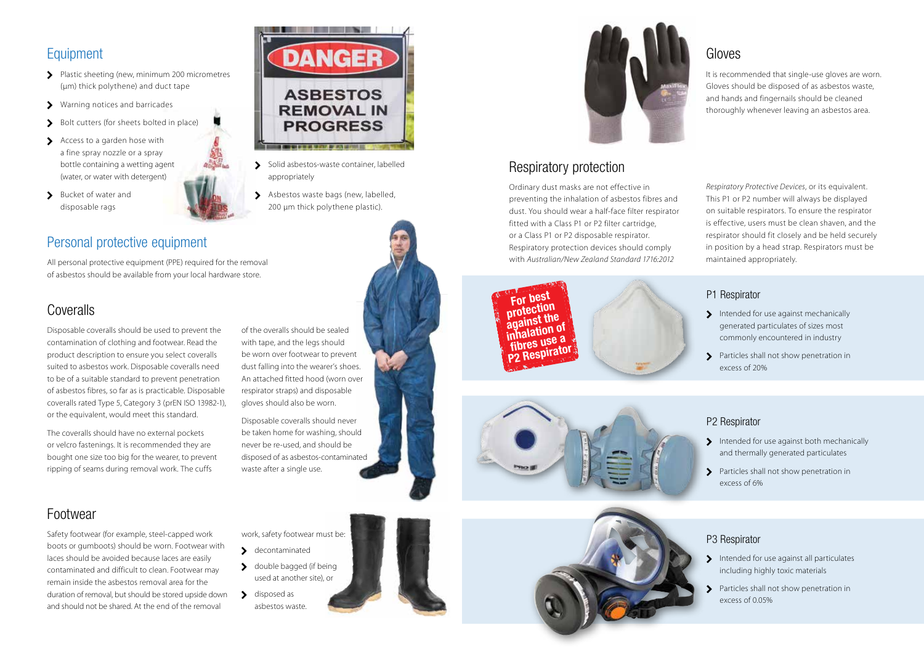## Equipment

- Plastic sheeting (new, minimum 200 micrometres (µm) thick polythene) and duct tape
- Warning notices and barricades
- Bolt cutters (for sheets bolted in place)
- Access to a garden hose with a fine spray nozzle or a spray bottle containing a wetting agent (water, or water with detergent)
- > Bucket of water and disposable rags



## Personal protective equipment

All personal protective equipment (PPE) required for the removal of asbestos should be available from your local hardware store.

#### Coveralls

Disposable coveralls should be used to prevent the contamination of clothing and footwear. Read the product description to ensure you select coveralls suited to asbestos work. Disposable coveralls need to be of a suitable standard to prevent penetration of asbestos fibres, so far as is practicable. Disposable coveralls rated Type 5, Category 3 (prEN ISO 13982-1), or the equivalent, would meet this standard.

The coveralls should have no external pockets or velcro fastenings. It is recommended they are bought one size too big for the wearer, to prevent ripping of seams during removal work. The cuffs



Disposable coveralls should never be taken home for washing, should never be re-used, and should be disposed of as asbestos-contaminated waste after a single use.

work, safety footwear must be:

> double bagged (if being used at another site), or

> decontaminated

disposed as asbestos waste.

# Footwear

Safety footwear (for example, steel-capped work boots or gumboots) should be worn. Footwear with laces should be avoided because laces are easily contaminated and difficult to clean. Footwear may remain inside the asbestos removal area for the duration of removal, but should be stored upside down and should not be shared. At the end of the removal



- Solid asbestos-waste container, labelled appropriately
- Asbestos waste bags (new, labelled, 200 µm thick polythene plastic).

**CONTRACTOR IN THE REPORT OF AN INCH.** 



**FORTIFY STEP IS AND SET OF A BEST PROTECTIVE**<br> **For a best protective in best protective in** Urdinary dust masks are not effective in<br>preventing the inhalation of asbestos fibres and preventing the inhalation of asbestos fibres and<br>dust. You should wear a half-face filter respirator aust. You snould wear a nai<del>r</del>-race fliter resp<br>fitted with a Class P1 or P2 filter cartridge, or a Class P1 or P2 disposable respirator. **fibres use a** Respiratory protection devices should comply<br>with Australian/New Zealand Standard 1716:2012 with *Australian/New Zealand Standard 1716:2012*  preventing the inhalation of assessess hires and<br>dust. You should wear a half-face filter respirator<br>fitted with a Class P1 or P2 filter cartridge, fitted with<br>or a Class P







#### Gloves

It is recommended that single-use gloves are worn. Gloves should be disposed of as asbestos waste, and hands and fingernails should be cleaned thoroughly whenever leaving an asbestos area.

*Respiratory Protective Devices*, or its equivalent. This P1 or P2 number will always be displayed on suitable respirators. To ensure the respirator is effective, users must be clean shaven, and the respirator should fit closely and be held securely in position by a head strap. Respirators must be maintained appropriately.

#### P1 Respirator

- Intended for use against mechanically generated particulates of sizes most commonly encountered in industry
- Particles shall not show penetration in excess of 20%

#### P2 Respirator

- Intended for use against both mechanically and thermally generated particulates
- **S** Particles shall not show penetration in excess of 6%

#### P3 Respirator

- Intended for use against all particulates including highly toxic materials
- > Particles shall not show penetration in excess of 0.05%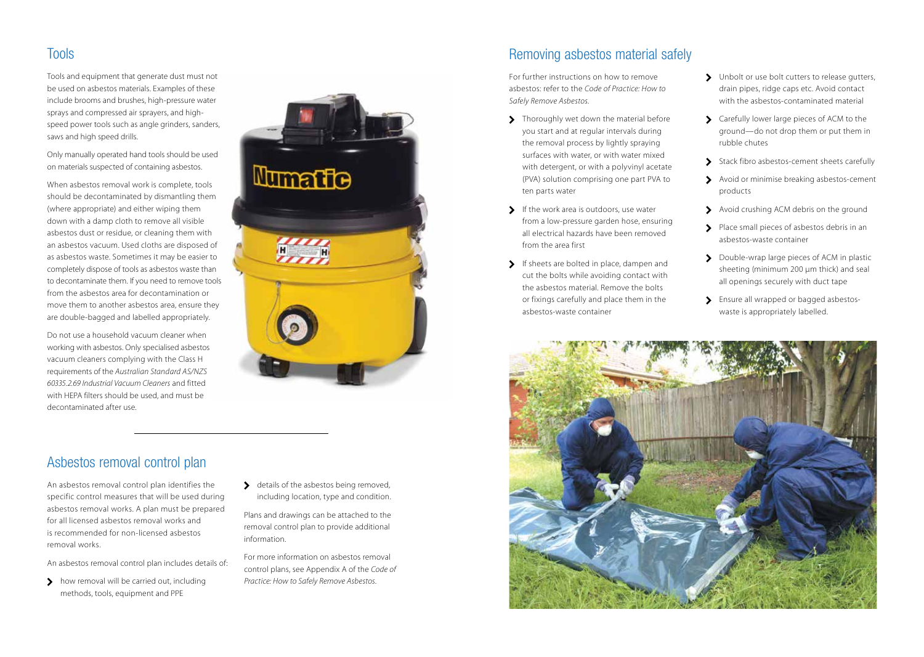#### Tools

Tools and equipment that generate dust must not be used on asbestos materials. Examples of these include brooms and brushes, high-pressure water sprays and compressed air sprayers, and highspeed power tools such as angle grinders, sanders, saws and high speed drills.

Only manually operated hand tools should be used on materials suspected of containing asbestos.

When asbestos removal work is complete, tools should be decontaminated by dismantling them (where appropriate) and either wiping them down with a damp cloth to remove all visible asbestos dust or residue, or cleaning them with an asbestos vacuum. Used cloths are disposed of as asbestos waste. Sometimes it may be easier to completely dispose of tools as asbestos waste than to decontaminate them. If you need to remove tools from the asbestos area for decontamination or move them to another asbestos area, ensure they are double-bagged and labelled appropriately.

Do not use a household vacuum cleaner when working with asbestos. Only specialised asbestos vacuum cleaners complying with the Class H requirements of the *Australian Standard AS/NZS 60335.2.69 Industrial Vacuum Cleaners* and fitted with HEPA filters should be used, and must be decontaminated after use.

#### Asbestos removal control plan

An asbestos removal control plan identifies the specific control measures that will be used during asbestos removal works. A plan must be prepared for all licensed asbestos removal works and is recommended for non-licensed asbestos removal works.

An asbestos removal control plan includes details of:

> how removal will be carried out, including methods, tools, equipment and PPE



details of the asbestos being removed, including location, type and condition.

Plans and drawings can be attached to the removal control plan to provide additional

For more information on asbestos removal control plans, see Appendix A of the *Code of Practice: How to Safely Remove Asbestos*.

information.

Removing asbestos material safely

For further instructions on how to remove asbestos: refer to the *Code of Practice: How to Safely Remove Asbestos.*

- > Thoroughly wet down the material before you start and at regular intervals during the removal process by lightly spraying surfaces with water, or with water mixed with detergent, or with a polyvinyl acetate (PVA) solution comprising one part PVA to ten parts water
- $\sum$  If the work area is outdoors, use water from a low-pressure garden hose, ensuring all electrical hazards have been removed from the area first
- If sheets are bolted in place, dampen and cut the bolts while avoiding contact with the asbestos material. Remove the bolts or fixings carefully and place them in the asbestos-waste container
- > Unbolt or use bolt cutters to release gutters, drain pipes, ridge caps etc. Avoid contact with the asbestos-contaminated material
- S Carefully lower large pieces of ACM to the ground—do not drop them or put them in rubble chutes
- Stack fibro asbestos-cement sheets carefully
- Avoid or minimise breaking asbestos-cement products
- Avoid crushing ACM debris on the ground
- Place small pieces of asbestos debris in an asbestos-waste container
- Double-wrap large pieces of ACM in plastic sheeting (minimum 200 µm thick) and seal all openings securely with duct tape
- > Ensure all wrapped or bagged asbestoswaste is appropriately labelled.

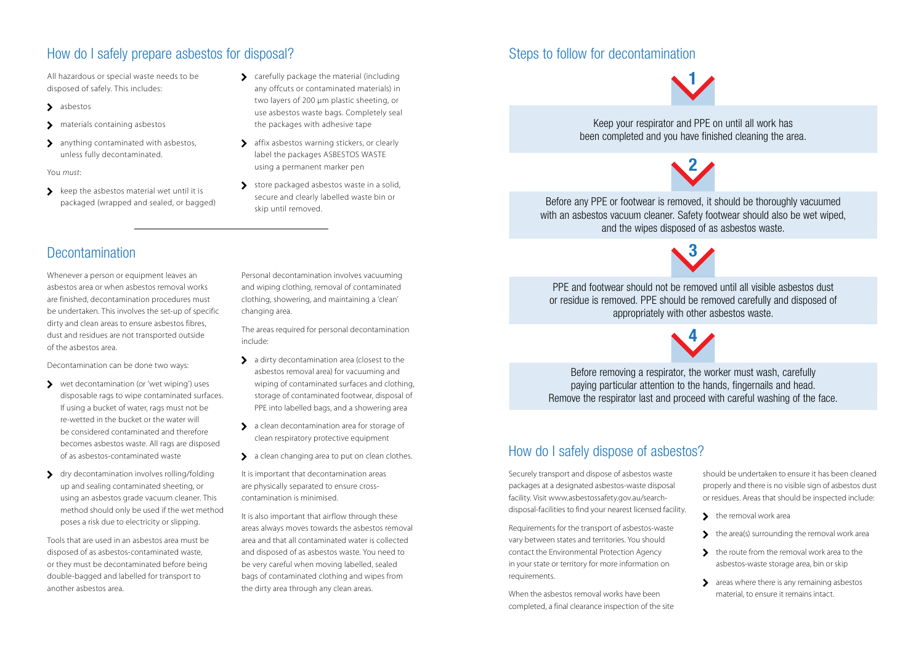#### How do I safely prepare asbestos for disposal?

All hazardous or special waste needs to be disposed of safely. This includes:

- > asbestos
- > materials containing asbestos
- > anything contaminated with asbestos, unless fully decontaminated.

You *must*:

 $\sum$  keep the asbestos material wet until it is packaged (wrapped and sealed, or bagged)

#### S carefully package the material (including any offcuts or contaminated materials) in two layers of 200 µm plastic sheeting, or use asbestos waste bags. Completely seal the packages with adhesive tape

- > affix asbestos warning stickers, or clearly label the packages ASBESTOS WASTE using a permanent marker pen
- store packaged asbestos waste in a solid, secure and clearly labelled waste bin or skip until removed.

# Steps to follow for decontamination

**1**

Keep your respirator and PPE on until all work has been completed and you have finished cleaning the area.



Before any PPE or footwear is removed, it should be thoroughly vacuumed with an asbestos vacuum cleaner. Safety footwear should also be wet wiped, and the wipes disposed of as asbestos waste.

**3**

PPE and footwear should not be removed until all visible asbestos dust or residue is removed. PPE should be removed carefully and disposed of appropriately with other asbestos waste.

**4**

Before removing a respirator, the worker must wash, carefully paying particular attention to the hands, fingernails and head. Remove the respirator last and proceed with careful washing of the face.

#### How do I safely dispose of asbestos?

Securely transport and dispose of asbestos waste packages at a designated asbestos-waste disposal facility. Visit www.asbestossafety.gov.au/searchdisposal-facilities to find your nearest licensed facility.

Requirements for the transport of asbestos-waste vary between states and territories. You should contact the Environmental Protection Agency in your state or territory for more information on requirements.

When the asbestos removal works have been completed, a final clearance inspection of the site should be undertaken to ensure it has been cleaned properly and there is no visible sign of asbestos dust or residues. Areas that should be inspected include:

- $\blacktriangleright$  the removal work area
- $\blacktriangleright$  the area(s) surrounding the removal work area
- the route from the removal work area to the asbestos-waste storage area, bin or skip
- > areas where there is any remaining asbestos material, to ensure it remains intact.

# Decontamination

Whenever a person or equipment leaves an asbestos area or when asbestos removal works are finished, decontamination procedures must be undertaken. This involves the set-up of specific dirty and clean areas to ensure asbestos fibres, dust and residues are not transported outside of the asbestos area.

Decontamination can be done two ways:

- wet decontamination (or 'wet wiping') uses disposable rags to wipe contaminated surfaces. If using a bucket of water, rags must not be re-wetted in the bucket or the water will be considered contaminated and therefore becomes asbestos waste. All rags are disposed of as asbestos-contaminated waste
- > dry decontamination involves rolling/folding up and sealing contaminated sheeting, or using an asbestos grade vacuum cleaner. This method should only be used if the wet method poses a risk due to electricity or slipping.

Tools that are used in an asbestos area must be disposed of as asbestos-contaminated waste, or they must be decontaminated before being double-bagged and labelled for transport to another asbestos area.

Personal decontamination involves vacuuming and wiping clothing, removal of contaminated clothing, showering, and maintaining a 'clean' changing area.

The areas required for personal decontamination include:

- $\sum$  a dirty decontamination area (closest to the asbestos removal area) for vacuuming and wiping of contaminated surfaces and clothing, storage of contaminated footwear, disposal of PPE into labelled bags, and a showering area
- > a clean decontamination area for storage of clean respiratory protective equipment
- $\sum$  a clean changing area to put on clean clothes.

It is important that decontamination areas are physically separated to ensure crosscontamination is minimised.

It is also important that airflow through these areas always moves towards the asbestos removal area and that all contaminated water is collected and disposed of as asbestos waste. You need to be very careful when moving labelled, sealed bags of contaminated clothing and wipes from the dirty area through any clean areas.